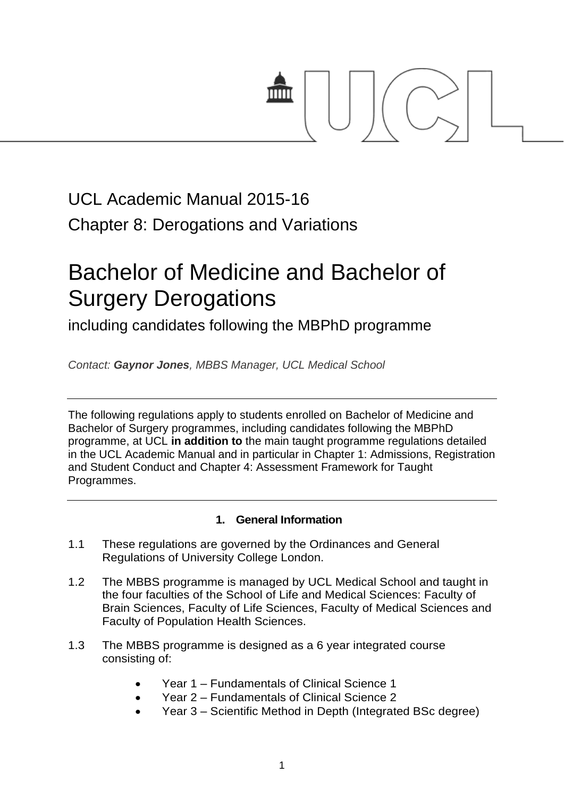

# UCL Academic Manual 2015-16 Chapter 8: Derogations and Variations

# Bachelor of Medicine and Bachelor of Surgery Derogations

including candidates following the MBPhD programme

*Contact: Gaynor Jones, MBBS Manager, UCL Medical School*

The following regulations apply to students enrolled on Bachelor of Medicine and Bachelor of Surgery programmes, including candidates following the MBPhD programme, at UCL **in addition to** the main taught programme regulations detailed in the UCL Academic Manual and in particular in Chapter 1: Admissions, Registration and Student Conduct and Chapter 4: Assessment Framework for Taught Programmes.

# **1. General Information**

- 1.1 These regulations are governed by the Ordinances and General Regulations of University College London.
- 1.2 The MBBS programme is managed by UCL Medical School and taught in the four faculties of the School of Life and Medical Sciences: Faculty of Brain Sciences, Faculty of Life Sciences, Faculty of Medical Sciences and Faculty of Population Health Sciences.
- 1.3 The MBBS programme is designed as a 6 year integrated course consisting of:
	- Year 1 Fundamentals of Clinical Science 1
	- Year 2 Fundamentals of Clinical Science 2
	- Year 3 Scientific Method in Depth (Integrated BSc degree)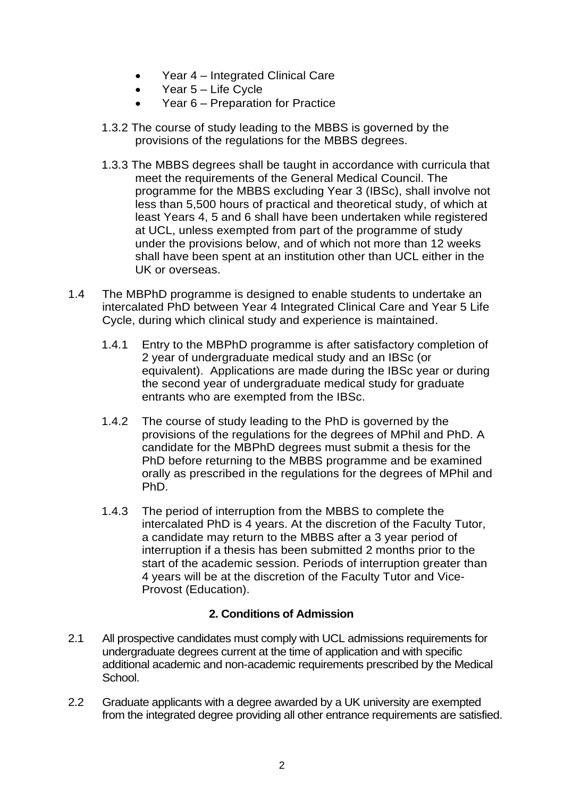- Year 4 Integrated Clinical Care
- Year 5 Life Cycle
- Year 6 Preparation for Practice
- 1.3.2 The course of study leading to the MBBS is governed by the provisions of the regulations for the MBBS degrees.
- 1.3.3 The MBBS degrees shall be taught in accordance with curricula that meet the requirements of the General Medical Council. The programme for the MBBS excluding Year 3 (IBSc), shall involve not less than 5,500 hours of practical and theoretical study, of which at least Years 4, 5 and 6 shall have been undertaken while registered at UCL, unless exempted from part of the programme of study under the provisions below, and of which not more than 12 weeks shall have been spent at an institution other than UCL either in the UK or overseas.
- 1.4 The MBPhD programme is designed to enable students to undertake an intercalated PhD between Year 4 Integrated Clinical Care and Year 5 Life Cycle, during which clinical study and experience is maintained.
	- 1.4.1 Entry to the MBPhD programme is after satisfactory completion of 2 year of undergraduate medical study and an IBSc (or equivalent). Applications are made during the IBSc year or during the second year of undergraduate medical study for graduate entrants who are exempted from the IBSc.
	- 1.4.2 The course of study leading to the PhD is governed by the provisions of the regulations for the degrees of MPhil and PhD. A candidate for the MBPhD degrees must submit a thesis for the PhD before returning to the MBBS programme and be examined orally as prescribed in the regulations for the degrees of MPhil and PhD.
	- 1.4.3 The period of interruption from the MBBS to complete the intercalated PhD is 4 years. At the discretion of the Faculty Tutor, a candidate may return to the MBBS after a 3 year period of interruption if a thesis has been submitted 2 months prior to the start of the academic session. Periods of interruption greater than 4 years will be at the discretion of the Faculty Tutor and Vice-Provost (Education).

# **2. Conditions of Admission**

- 2.1 All prospective candidates must comply with UCL admissions requirements for undergraduate degrees current at the time of application and with specific additional academic and non-academic requirements prescribed by the Medical School.
- 2.2 Graduate applicants with a degree awarded by a UK university are exempted from the integrated degree providing all other entrance requirements are satisfied.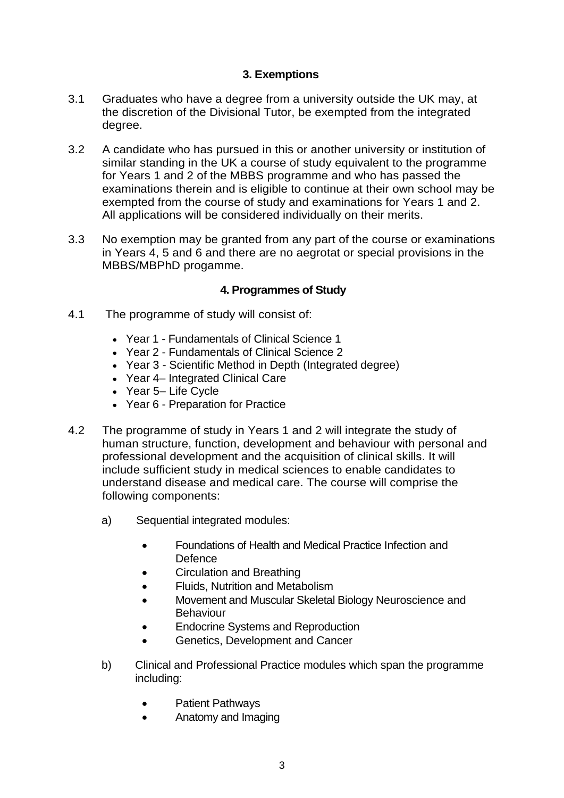# **3. Exemptions**

- 3.1 Graduates who have a degree from a university outside the UK may, at the discretion of the Divisional Tutor, be exempted from the integrated degree.
- 3.2 A candidate who has pursued in this or another university or institution of similar standing in the UK a course of study equivalent to the programme for Years 1 and 2 of the MBBS programme and who has passed the examinations therein and is eligible to continue at their own school may be exempted from the course of study and examinations for Years 1 and 2. All applications will be considered individually on their merits.
- 3.3 No exemption may be granted from any part of the course or examinations in Years 4, 5 and 6 and there are no aegrotat or special provisions in the MBBS/MBPhD progamme.

# **4. Programmes of Study**

- 4.1 The programme of study will consist of:
	- Year 1 Fundamentals of Clinical Science 1
	- Year 2 Fundamentals of Clinical Science 2
	- Year 3 Scientific Method in Depth (Integrated degree)
	- Year 4– Integrated Clinical Care
	- Year 5– Life Cycle
	- Year 6 Preparation for Practice
- 4.2 The programme of study in Years 1 and 2 will integrate the study of human structure, function, development and behaviour with personal and professional development and the acquisition of clinical skills. It will include sufficient study in medical sciences to enable candidates to understand disease and medical care. The course will comprise the following components:
	- a) Sequential integrated modules:
		- Foundations of Health and Medical Practice Infection and **Defence**
		- Circulation and Breathing
		- Fluids, Nutrition and Metabolism
		- Movement and Muscular Skeletal Biology Neuroscience and Behaviour
		- Endocrine Systems and Reproduction
		- Genetics, Development and Cancer
	- b) Clinical and Professional Practice modules which span the programme including:
		- Patient Pathways
		- Anatomy and Imaging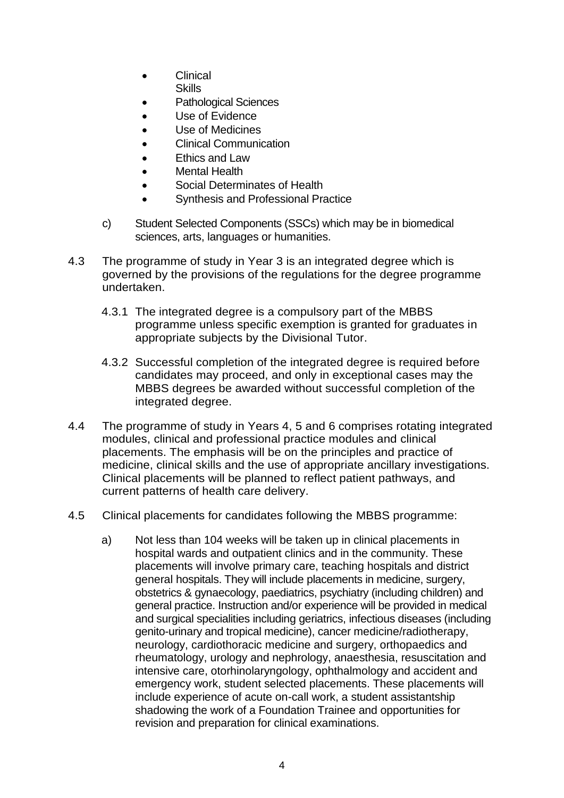- Clinical
	- **Skills**
- Pathological Sciences
- Use of Evidence
- Use of Medicines
- Clinical Communication
- Ethics and Law
- Mental Health
- Social Determinates of Health
- Synthesis and Professional Practice
- c) Student Selected Components (SSCs) which may be in biomedical sciences, arts, languages or humanities.
- 4.3 The programme of study in Year 3 is an integrated degree which is governed by the provisions of the regulations for the degree programme undertaken.
	- 4.3.1 The integrated degree is a compulsory part of the MBBS programme unless specific exemption is granted for graduates in appropriate subjects by the Divisional Tutor.
	- 4.3.2 Successful completion of the integrated degree is required before candidates may proceed, and only in exceptional cases may the MBBS degrees be awarded without successful completion of the integrated degree.
- 4.4 The programme of study in Years 4, 5 and 6 comprises rotating integrated modules, clinical and professional practice modules and clinical placements. The emphasis will be on the principles and practice of medicine, clinical skills and the use of appropriate ancillary investigations. Clinical placements will be planned to reflect patient pathways, and current patterns of health care delivery.
- 4.5 Clinical placements for candidates following the MBBS programme:
	- a) Not less than 104 weeks will be taken up in clinical placements in hospital wards and outpatient clinics and in the community. These placements will involve primary care, teaching hospitals and district general hospitals. They will include placements in medicine, surgery, obstetrics & gynaecology, paediatrics, psychiatry (including children) and general practice. Instruction and/or experience will be provided in medical and surgical specialities including geriatrics, infectious diseases (including genito-urinary and tropical medicine), cancer medicine/radiotherapy, neurology, cardiothoracic medicine and surgery, orthopaedics and rheumatology, urology and nephrology, anaesthesia, resuscitation and intensive care, otorhinolaryngology, ophthalmology and accident and emergency work, student selected placements. These placements will include experience of acute on-call work, a student assistantship shadowing the work of a Foundation Trainee and opportunities for revision and preparation for clinical examinations.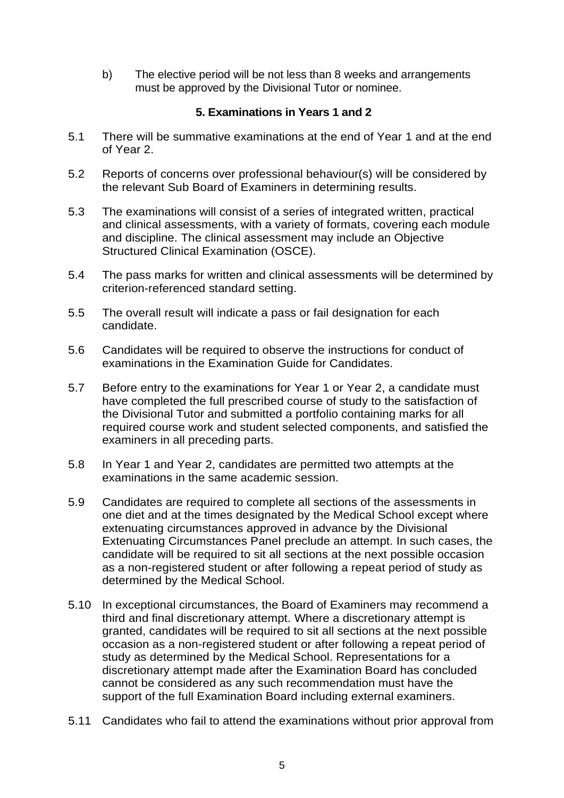b) The elective period will be not less than 8 weeks and arrangements must be approved by the Divisional Tutor or nominee.

# **5. Examinations in Years 1 and 2**

- 5.1 There will be summative examinations at the end of Year 1 and at the end of Year 2.
- 5.2 Reports of concerns over professional behaviour(s) will be considered by the relevant Sub Board of Examiners in determining results.
- 5.3 The examinations will consist of a series of integrated written, practical and clinical assessments, with a variety of formats, covering each module and discipline. The clinical assessment may include an Objective Structured Clinical Examination (OSCE).
- 5.4 The pass marks for written and clinical assessments will be determined by criterion-referenced standard setting.
- 5.5 The overall result will indicate a pass or fail designation for each candidate.
- 5.6 Candidates will be required to observe the instructions for conduct of examinations in the Examination Guide for Candidates.
- 5.7 Before entry to the examinations for Year 1 or Year 2, a candidate must have completed the full prescribed course of study to the satisfaction of the Divisional Tutor and submitted a portfolio containing marks for all required course work and student selected components, and satisfied the examiners in all preceding parts.
- 5.8 In Year 1 and Year 2, candidates are permitted two attempts at the examinations in the same academic session.
- 5.9 Candidates are required to complete all sections of the assessments in one diet and at the times designated by the Medical School except where extenuating circumstances approved in advance by the Divisional Extenuating Circumstances Panel preclude an attempt. In such cases, the candidate will be required to sit all sections at the next possible occasion as a non-registered student or after following a repeat period of study as determined by the Medical School.
- 5.10 In exceptional circumstances, the Board of Examiners may recommend a third and final discretionary attempt. Where a discretionary attempt is granted, candidates will be required to sit all sections at the next possible occasion as a non-registered student or after following a repeat period of study as determined by the Medical School. Representations for a discretionary attempt made after the Examination Board has concluded cannot be considered as any such recommendation must have the support of the full Examination Board including external examiners.
- 5.11 Candidates who fail to attend the examinations without prior approval from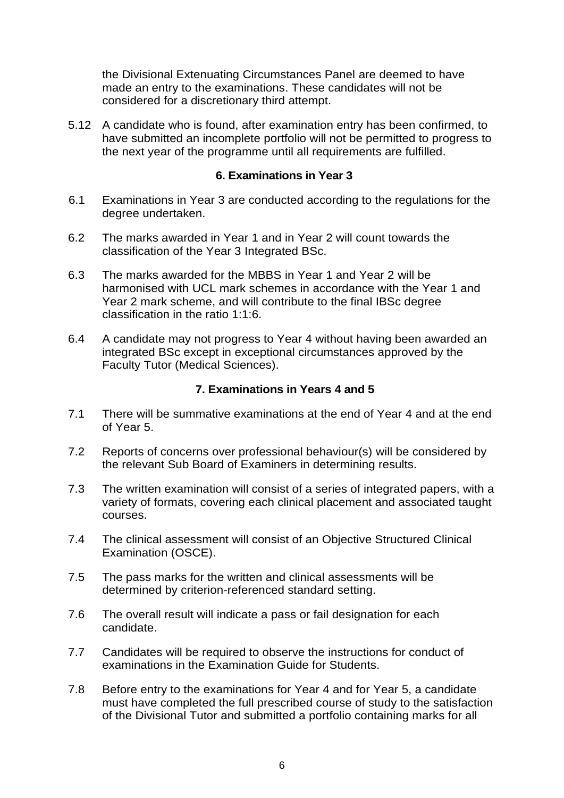the Divisional Extenuating Circumstances Panel are deemed to have made an entry to the examinations. These candidates will not be considered for a discretionary third attempt.

5.12 A candidate who is found, after examination entry has been confirmed, to have submitted an incomplete portfolio will not be permitted to progress to the next year of the programme until all requirements are fulfilled.

#### **6. Examinations in Year 3**

- 6.1 Examinations in Year 3 are conducted according to the regulations for the degree undertaken.
- 6.2 The marks awarded in Year 1 and in Year 2 will count towards the classification of the Year 3 Integrated BSc.
- 6.3 The marks awarded for the MBBS in Year 1 and Year 2 will be harmonised with UCL mark schemes in accordance with the Year 1 and Year 2 mark scheme, and will contribute to the final IBSc degree classification in the ratio 1:1:6.
- 6.4 A candidate may not progress to Year 4 without having been awarded an integrated BSc except in exceptional circumstances approved by the Faculty Tutor (Medical Sciences).

#### **7. Examinations in Years 4 and 5**

- 7.1 There will be summative examinations at the end of Year 4 and at the end of Year 5.
- 7.2 Reports of concerns over professional behaviour(s) will be considered by the relevant Sub Board of Examiners in determining results.
- 7.3 The written examination will consist of a series of integrated papers, with a variety of formats, covering each clinical placement and associated taught courses.
- 7.4 The clinical assessment will consist of an Objective Structured Clinical Examination (OSCE).
- 7.5 The pass marks for the written and clinical assessments will be determined by criterion-referenced standard setting.
- 7.6 The overall result will indicate a pass or fail designation for each candidate.
- 7.7 Candidates will be required to observe the instructions for conduct of examinations in the Examination Guide for Students.
- 7.8 Before entry to the examinations for Year 4 and for Year 5, a candidate must have completed the full prescribed course of study to the satisfaction of the Divisional Tutor and submitted a portfolio containing marks for all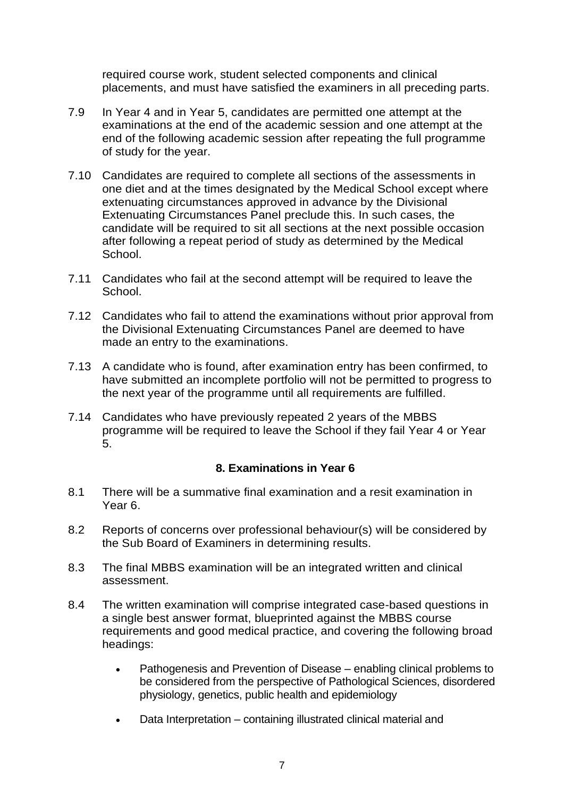required course work, student selected components and clinical placements, and must have satisfied the examiners in all preceding parts.

- 7.9 In Year 4 and in Year 5, candidates are permitted one attempt at the examinations at the end of the academic session and one attempt at the end of the following academic session after repeating the full programme of study for the year.
- 7.10 Candidates are required to complete all sections of the assessments in one diet and at the times designated by the Medical School except where extenuating circumstances approved in advance by the Divisional Extenuating Circumstances Panel preclude this. In such cases, the candidate will be required to sit all sections at the next possible occasion after following a repeat period of study as determined by the Medical School.
- 7.11 Candidates who fail at the second attempt will be required to leave the School.
- 7.12 Candidates who fail to attend the examinations without prior approval from the Divisional Extenuating Circumstances Panel are deemed to have made an entry to the examinations.
- 7.13 A candidate who is found, after examination entry has been confirmed, to have submitted an incomplete portfolio will not be permitted to progress to the next year of the programme until all requirements are fulfilled.
- 7.14 Candidates who have previously repeated 2 years of the MBBS programme will be required to leave the School if they fail Year 4 or Year 5.

#### **8. Examinations in Year 6**

- 8.1 There will be a summative final examination and a resit examination in Year 6.
- 8.2 Reports of concerns over professional behaviour(s) will be considered by the Sub Board of Examiners in determining results.
- 8.3 The final MBBS examination will be an integrated written and clinical assessment.
- 8.4 The written examination will comprise integrated case-based questions in a single best answer format, blueprinted against the MBBS course requirements and good medical practice, and covering the following broad headings:
	- Pathogenesis and Prevention of Disease enabling clinical problems to be considered from the perspective of Pathological Sciences, disordered physiology, genetics, public health and epidemiology
	- Data Interpretation containing illustrated clinical material and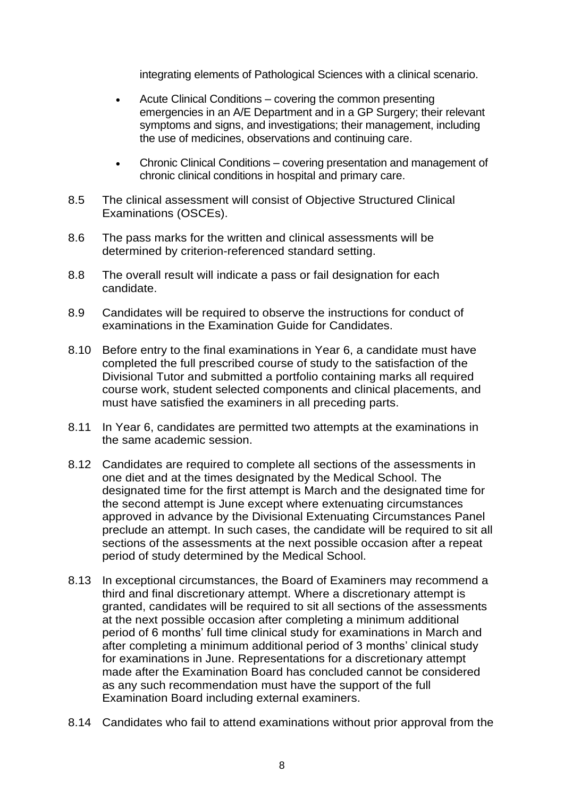integrating elements of Pathological Sciences with a clinical scenario.

- Acute Clinical Conditions covering the common presenting emergencies in an A/E Department and in a GP Surgery; their relevant symptoms and signs, and investigations; their management, including the use of medicines, observations and continuing care.
- Chronic Clinical Conditions covering presentation and management of chronic clinical conditions in hospital and primary care.
- 8.5 The clinical assessment will consist of Objective Structured Clinical Examinations (OSCEs).
- 8.6 The pass marks for the written and clinical assessments will be determined by criterion-referenced standard setting.
- 8.8 The overall result will indicate a pass or fail designation for each candidate.
- 8.9 Candidates will be required to observe the instructions for conduct of examinations in the Examination Guide for Candidates.
- 8.10 Before entry to the final examinations in Year 6, a candidate must have completed the full prescribed course of study to the satisfaction of the Divisional Tutor and submitted a portfolio containing marks all required course work, student selected components and clinical placements, and must have satisfied the examiners in all preceding parts.
- 8.11 In Year 6, candidates are permitted two attempts at the examinations in the same academic session.
- 8.12 Candidates are required to complete all sections of the assessments in one diet and at the times designated by the Medical School. The designated time for the first attempt is March and the designated time for the second attempt is June except where extenuating circumstances approved in advance by the Divisional Extenuating Circumstances Panel preclude an attempt. In such cases, the candidate will be required to sit all sections of the assessments at the next possible occasion after a repeat period of study determined by the Medical School.
- 8.13 In exceptional circumstances, the Board of Examiners may recommend a third and final discretionary attempt. Where a discretionary attempt is granted, candidates will be required to sit all sections of the assessments at the next possible occasion after completing a minimum additional period of 6 months' full time clinical study for examinations in March and after completing a minimum additional period of 3 months' clinical study for examinations in June. Representations for a discretionary attempt made after the Examination Board has concluded cannot be considered as any such recommendation must have the support of the full Examination Board including external examiners.
- 8.14 Candidates who fail to attend examinations without prior approval from the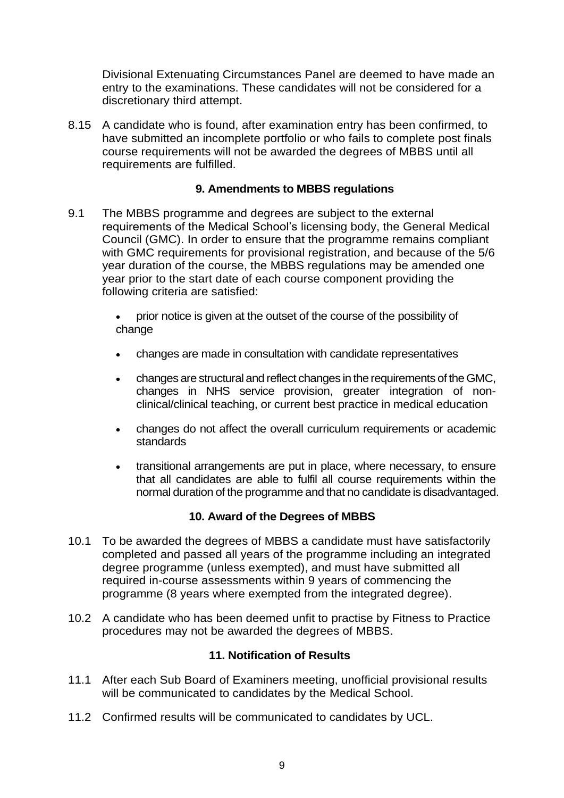Divisional Extenuating Circumstances Panel are deemed to have made an entry to the examinations. These candidates will not be considered for a discretionary third attempt.

8.15 A candidate who is found, after examination entry has been confirmed, to have submitted an incomplete portfolio or who fails to complete post finals course requirements will not be awarded the degrees of MBBS until all requirements are fulfilled.

# **9. Amendments to MBBS regulations**

9.1 The MBBS programme and degrees are subject to the external requirements of the Medical School's licensing body, the General Medical Council (GMC). In order to ensure that the programme remains compliant with GMC requirements for provisional registration, and because of the 5/6 year duration of the course, the MBBS regulations may be amended one year prior to the start date of each course component providing the following criteria are satisfied:

> prior notice is given at the outset of the course of the possibility of change

- changes are made in consultation with candidate representatives
- changes are structural and reflect changes in the requirements of the GMC, changes in NHS service provision, greater integration of nonclinical/clinical teaching, or current best practice in medical education
- changes do not affect the overall curriculum requirements or academic standards
- transitional arrangements are put in place, where necessary, to ensure that all candidates are able to fulfil all course requirements within the normal duration of the programme and that no candidate is disadvantaged.

#### **10. Award of the Degrees of MBBS**

- 10.1 To be awarded the degrees of MBBS a candidate must have satisfactorily completed and passed all years of the programme including an integrated degree programme (unless exempted), and must have submitted all required in-course assessments within 9 years of commencing the programme (8 years where exempted from the integrated degree).
- 10.2 A candidate who has been deemed unfit to practise by Fitness to Practice procedures may not be awarded the degrees of MBBS.

#### **11. Notification of Results**

- 11.1 After each Sub Board of Examiners meeting, unofficial provisional results will be communicated to candidates by the Medical School.
- 11.2 Confirmed results will be communicated to candidates by UCL.